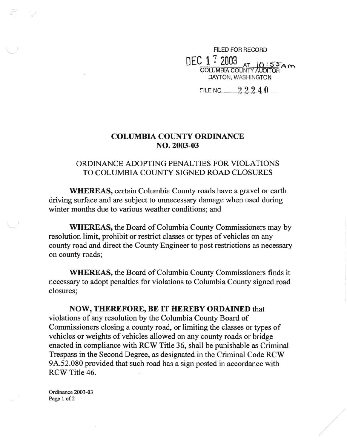FILED FOR RECORD  $\mathrm{DEC}$  1  $\mathrm{7}$  2003<br>COLUMBIA COUNTY AUDITOR DAYTON, WASHINGTON

FILE NO  $22240$ 

## **COLUMBIA COUNTY ORDINANCE**  NO. 2003-03

## ORDINANCE ADOPTING PENALTIES FOR VIOLATIONS TO COLUMBIA COUNTY SIGNED ROAD CLOSURES

**WHEREAS,** certain Columbia County roads have a gravel or earth driving surface and are subject to unnecessary damage when used during winter months due to various weather conditions; and

**WHEREAS,** the Board of Columbia County Commissioners may by resolution limit, prohibit or restrict classes or types of vehicles on any county road and direct the County Engineer to post restrictions as necessary on county roads;

**WHEREAS,** the Board of Columbia County Commissioners finds it necessary to adopt penalties for violations to Columbia County signed road closures;

**NOW, THEREFORE, BE IT HEREBY ORDAINED** that violations of any resolution by the Columbia County Board of Commissioners closing a county road, or limiting the classes or types of vehicles or weights of vehicles allowed on any county roads or bridge enacted in compliance with RCW Title 36, shall be punishable as Criminal Trespass in the Second Degree, as designated in the Criminal Code RCW 9A.S2.080 provided that such road has a sign posted in accordance with RCW Title 46.

Ordinance 2003-03 Page 1 of 2